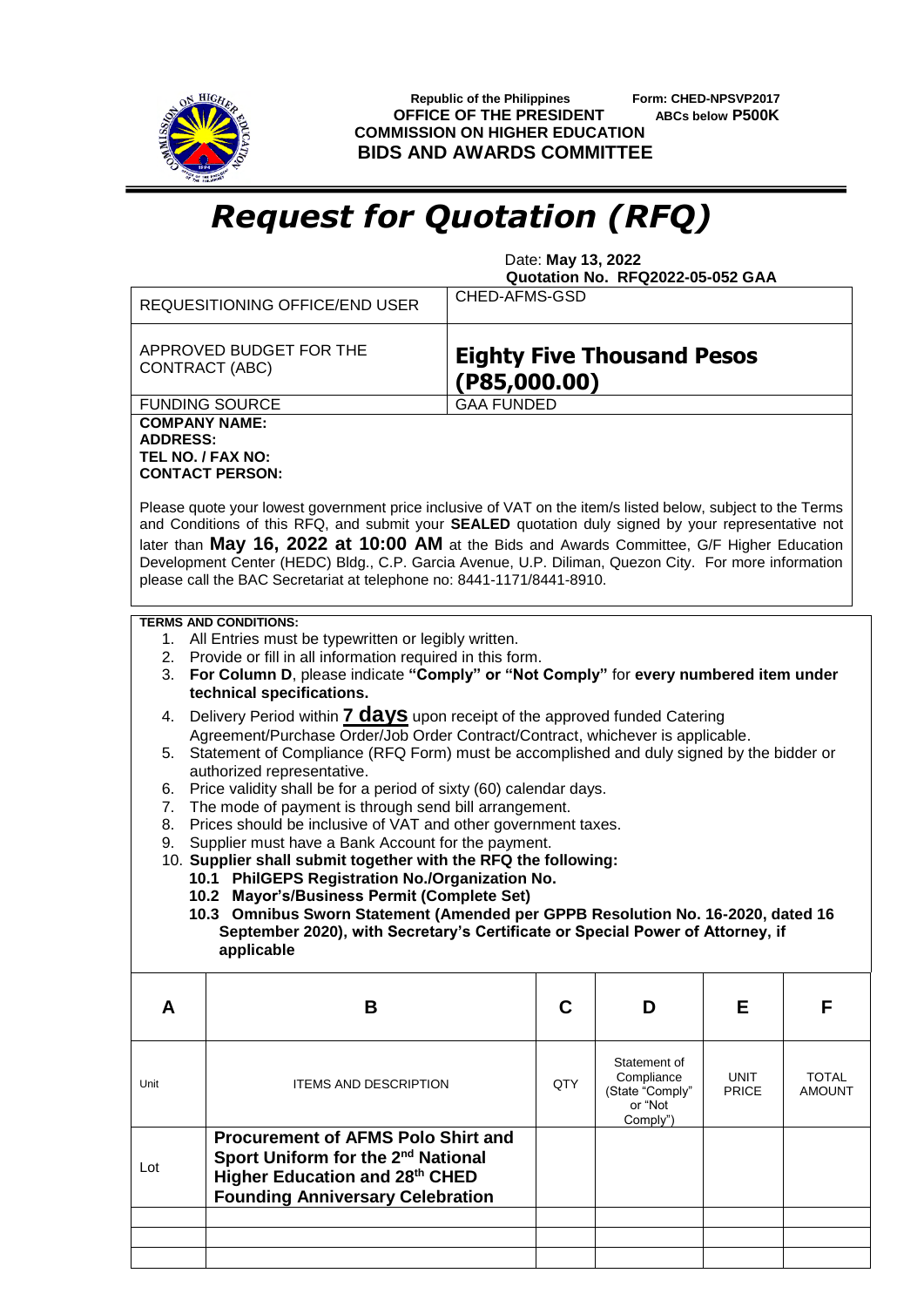

 **Republic of the Philippines Form: CHED-NPSVP2017 OFFICE OF THE PRESIDENT ABCs below P500K COMMISSION ON HIGHER EDUCATION BIDS AND AWARDS COMMITTEE**

## *Request for Quotation (RFQ)*

 Date: **May 13, 2022 Quotation No. RFQ2022-05-052 GAA**

|                                                                                                                                                                                                                                                                                                                                                                                                                                                                                                                                                                                             | <b>REQUESITIONING OFFICE/END USER</b>                                                                                                                                    | CHED-AFMS-GSD                                     |     |                                                                      |                             |                               |  |  |  |
|---------------------------------------------------------------------------------------------------------------------------------------------------------------------------------------------------------------------------------------------------------------------------------------------------------------------------------------------------------------------------------------------------------------------------------------------------------------------------------------------------------------------------------------------------------------------------------------------|--------------------------------------------------------------------------------------------------------------------------------------------------------------------------|---------------------------------------------------|-----|----------------------------------------------------------------------|-----------------------------|-------------------------------|--|--|--|
|                                                                                                                                                                                                                                                                                                                                                                                                                                                                                                                                                                                             | APPROVED BUDGET FOR THE<br>CONTRACT (ABC)                                                                                                                                | <b>Eighty Five Thousand Pesos</b><br>(P85,000.00) |     |                                                                      |                             |                               |  |  |  |
|                                                                                                                                                                                                                                                                                                                                                                                                                                                                                                                                                                                             | <b>FUNDING SOURCE</b>                                                                                                                                                    | <b>GAA FUNDED</b>                                 |     |                                                                      |                             |                               |  |  |  |
| <b>COMPANY NAME:</b><br><b>ADDRESS:</b><br>TEL NO. / FAX NO:<br><b>CONTACT PERSON:</b><br>Please quote your lowest government price inclusive of VAT on the item/s listed below, subject to the Terms<br>and Conditions of this RFQ, and submit your SEALED quotation duly signed by your representative not<br>later than May 16, 2022 at 10:00 AM at the Bids and Awards Committee, G/F Higher Education<br>Development Center (HEDC) Bldg., C.P. Garcia Avenue, U.P. Diliman, Quezon City. For more information<br>please call the BAC Secretariat at telephone no: 8441-1171/8441-8910. |                                                                                                                                                                          |                                                   |     |                                                                      |                             |                               |  |  |  |
| <b>TERMS AND CONDITIONS:</b><br>1. All Entries must be typewritten or legibly written.<br>2. Provide or fill in all information required in this form.<br>For Column D, please indicate "Comply" or "Not Comply" for every numbered item under<br>3.<br>technical specifications.                                                                                                                                                                                                                                                                                                           |                                                                                                                                                                          |                                                   |     |                                                                      |                             |                               |  |  |  |
| Delivery Period within 7 days upon receipt of the approved funded Catering<br>4.<br>Agreement/Purchase Order/Job Order Contract/Contract, whichever is applicable.                                                                                                                                                                                                                                                                                                                                                                                                                          |                                                                                                                                                                          |                                                   |     |                                                                      |                             |                               |  |  |  |
| Statement of Compliance (RFQ Form) must be accomplished and duly signed by the bidder or<br>5.<br>authorized representative.                                                                                                                                                                                                                                                                                                                                                                                                                                                                |                                                                                                                                                                          |                                                   |     |                                                                      |                             |                               |  |  |  |
| Price validity shall be for a period of sixty (60) calendar days.<br>6.<br>The mode of payment is through send bill arrangement.<br>7.<br>Prices should be inclusive of VAT and other government taxes.<br>8.                                                                                                                                                                                                                                                                                                                                                                               |                                                                                                                                                                          |                                                   |     |                                                                      |                             |                               |  |  |  |
| Supplier must have a Bank Account for the payment.<br>9.<br>10. Supplier shall submit together with the RFQ the following:<br>10.1 PhilGEPS Registration No./Organization No.                                                                                                                                                                                                                                                                                                                                                                                                               |                                                                                                                                                                          |                                                   |     |                                                                      |                             |                               |  |  |  |
| 10.2 Mayor's/Business Permit (Complete Set)<br>10.3 Omnibus Sworn Statement (Amended per GPPB Resolution No. 16-2020, dated 16                                                                                                                                                                                                                                                                                                                                                                                                                                                              |                                                                                                                                                                          |                                                   |     |                                                                      |                             |                               |  |  |  |
| September 2020), with Secretary's Certificate or Special Power of Attorney, if<br>applicable                                                                                                                                                                                                                                                                                                                                                                                                                                                                                                |                                                                                                                                                                          |                                                   |     |                                                                      |                             |                               |  |  |  |
| A                                                                                                                                                                                                                                                                                                                                                                                                                                                                                                                                                                                           | B                                                                                                                                                                        |                                                   | C   | D                                                                    | Е                           | F                             |  |  |  |
| Unit                                                                                                                                                                                                                                                                                                                                                                                                                                                                                                                                                                                        | <b>ITEMS AND DESCRIPTION</b>                                                                                                                                             |                                                   | QTY | Statement of<br>Compliance<br>(State "Comply"<br>or "Not<br>Comply") | <b>UNIT</b><br><b>PRICE</b> | <b>TOTAL</b><br><b>AMOUNT</b> |  |  |  |
| Lot                                                                                                                                                                                                                                                                                                                                                                                                                                                                                                                                                                                         | <b>Procurement of AFMS Polo Shirt and</b><br>Sport Uniform for the 2 <sup>nd</sup> National<br>Higher Education and 28th CHED<br><b>Founding Anniversary Celebration</b> |                                                   |     |                                                                      |                             |                               |  |  |  |
|                                                                                                                                                                                                                                                                                                                                                                                                                                                                                                                                                                                             |                                                                                                                                                                          |                                                   |     |                                                                      |                             |                               |  |  |  |
|                                                                                                                                                                                                                                                                                                                                                                                                                                                                                                                                                                                             |                                                                                                                                                                          |                                                   |     |                                                                      |                             |                               |  |  |  |
|                                                                                                                                                                                                                                                                                                                                                                                                                                                                                                                                                                                             |                                                                                                                                                                          |                                                   |     |                                                                      |                             |                               |  |  |  |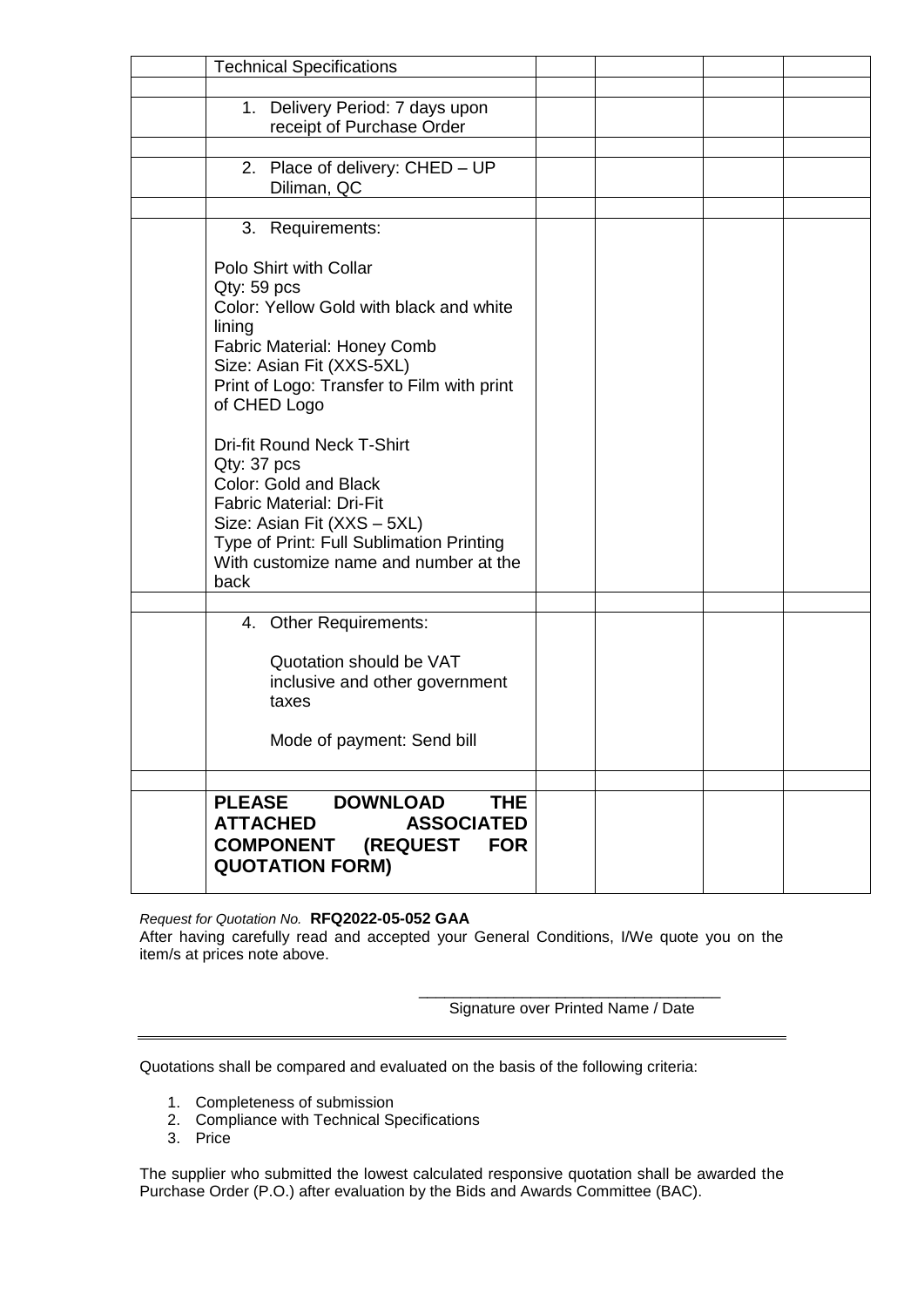| <b>Technical Specifications</b>                                                   |  |  |
|-----------------------------------------------------------------------------------|--|--|
|                                                                                   |  |  |
| 1. Delivery Period: 7 days upon                                                   |  |  |
| receipt of Purchase Order                                                         |  |  |
| 2. Place of delivery: CHED - UP                                                   |  |  |
| Diliman, QC                                                                       |  |  |
|                                                                                   |  |  |
| 3. Requirements:                                                                  |  |  |
|                                                                                   |  |  |
| Polo Shirt with Collar                                                            |  |  |
| $Qty: 59$ pcs<br>Color: Yellow Gold with black and white                          |  |  |
| lining                                                                            |  |  |
| <b>Fabric Material: Honey Comb</b>                                                |  |  |
| Size: Asian Fit (XXS-5XL)                                                         |  |  |
| Print of Logo: Transfer to Film with print                                        |  |  |
| of CHED Logo                                                                      |  |  |
| <b>Dri-fit Round Neck T-Shirt</b>                                                 |  |  |
| Qty: 37 pcs                                                                       |  |  |
| Color: Gold and Black                                                             |  |  |
| <b>Fabric Material: Dri-Fit</b>                                                   |  |  |
| Size: Asian Fit (XXS - 5XL)                                                       |  |  |
| Type of Print: Full Sublimation Printing<br>With customize name and number at the |  |  |
| back                                                                              |  |  |
|                                                                                   |  |  |
| 4. Other Requirements:                                                            |  |  |
|                                                                                   |  |  |
| Quotation should be VAT                                                           |  |  |
| inclusive and other government                                                    |  |  |
| taxes                                                                             |  |  |
| Mode of payment: Send bill                                                        |  |  |
|                                                                                   |  |  |
|                                                                                   |  |  |
| <b>THE</b><br><b>PLEASE</b><br><b>DOWNLOAD</b>                                    |  |  |
| <b>ATTACHED</b><br><b>ASSOCIATED</b>                                              |  |  |
| <b>COMPONENT (REQUEST</b><br><b>FOR</b>                                           |  |  |
| <b>QUOTATION FORM)</b>                                                            |  |  |

*Request for Quotation No.* **RFQ2022-05-052 GAA**

After having carefully read and accepted your General Conditions, I/We quote you on the item/s at prices note above.

> \_\_\_\_\_\_\_\_\_\_\_\_\_\_\_\_\_\_\_\_\_\_\_\_\_\_\_\_\_\_\_\_\_\_\_ Signature over Printed Name / Date

Quotations shall be compared and evaluated on the basis of the following criteria:

- 1. Completeness of submission
- 2. Compliance with Technical Specifications
- 3. Price

The supplier who submitted the lowest calculated responsive quotation shall be awarded the Purchase Order (P.O.) after evaluation by the Bids and Awards Committee (BAC).